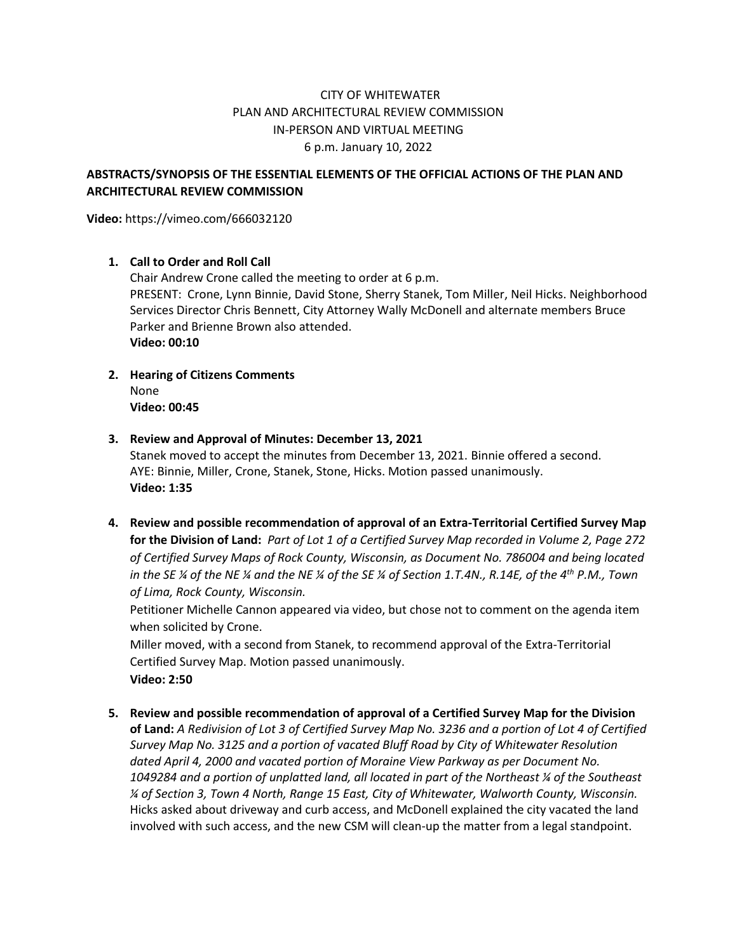# CITY OF WHITEWATER PLAN AND ARCHITECTURAL REVIEW COMMISSION IN-PERSON AND VIRTUAL MEETING 6 p.m. January 10, 2022

## **ABSTRACTS/SYNOPSIS OF THE ESSENTIAL ELEMENTS OF THE OFFICIAL ACTIONS OF THE PLAN AND ARCHITECTURAL REVIEW COMMISSION**

**Video:** https://vimeo.com/666032120

### **1. Call to Order and Roll Call**

Chair Andrew Crone called the meeting to order at 6 p.m. PRESENT: Crone, Lynn Binnie, David Stone, Sherry Stanek, Tom Miller, Neil Hicks. Neighborhood Services Director Chris Bennett, City Attorney Wally McDonell and alternate members Bruce Parker and Brienne Brown also attended. **Video: 00:10**

**2. Hearing of Citizens Comments** None **Video: 00:45**

#### **3. Review and Approval of Minutes: December 13, 2021**

Stanek moved to accept the minutes from December 13, 2021. Binnie offered a second. AYE: Binnie, Miller, Crone, Stanek, Stone, Hicks. Motion passed unanimously. **Video: 1:35**

**4. Review and possible recommendation of approval of an Extra-Territorial Certified Survey Map for the Division of Land:** *Part of Lot 1 of a Certified Survey Map recorded in Volume 2, Page 272 of Certified Survey Maps of Rock County, Wisconsin, as Document No. 786004 and being located in the SE ¼ of the NE ¼ and the NE ¼ of the SE ¼ of Section 1.T.4N., R.14E, of the 4th P.M., Town of Lima, Rock County, Wisconsin.*

Petitioner Michelle Cannon appeared via video, but chose not to comment on the agenda item when solicited by Crone.

Miller moved, with a second from Stanek, to recommend approval of the Extra-Territorial Certified Survey Map. Motion passed unanimously. **Video: 2:50**

**5. Review and possible recommendation of approval of a Certified Survey Map for the Division of Land:** *A Redivision of Lot 3 of Certified Survey Map No. 3236 and a portion of Lot 4 of Certified Survey Map No. 3125 and a portion of vacated Bluff Road by City of Whitewater Resolution dated April 4, 2000 and vacated portion of Moraine View Parkway as per Document No. 1049284 and a portion of unplatted land, all located in part of the Northeast ¼ of the Southeast ¼ of Section 3, Town 4 North, Range 15 East, City of Whitewater, Walworth County, Wisconsin.* Hicks asked about driveway and curb access, and McDonell explained the city vacated the land involved with such access, and the new CSM will clean-up the matter from a legal standpoint.